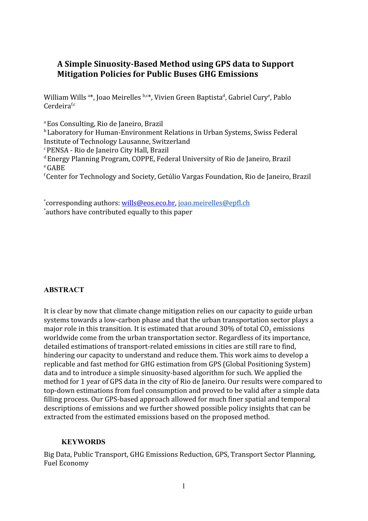# **A Simple Sinuosity-Based Method using GPS data to Support Mitigation Policies for Public Buses GHG Emissions**

William Wills <sup>a</sup>\*, Joao Meirelles <sup>b,c</sup>\*, Vivien Green Baptista<sup>d</sup>, Gabriel Cury<sup>e</sup>, Pablo  $Cerdeira<sup>f,c</sup>$ 

<sup>a</sup> Eos Consulting, Rio de Janeiro, Brazil

<sup>b</sup> Laboratory for Human-Environment Relations in Urban Systems, Swiss Federal Institute of Technology Lausanne, Switzerland

<sup>c</sup>PENSA - Rio de Janeiro City Hall, Brazil

<sup>d</sup>Energy Planning Program, COPPE, Federal University of Rio de Janeiro, Brazil  $^{\rm e}$ GABE

<sup>f</sup>Center for Technology and Society, Getúlio Vargas Foundation, Rio de Janeiro, Brazil

\*corresponding authors: [wills@eos.eco.br,](mailto:wills@eos.eco.br) [joao.meirelles@epfl.ch](mailto:joao.meirelles@epfl.ch) \*authors have contributed equally to this paper

## **ABSTRACT**

It is clear by now that climate change mitigation relies on our capacity to guide urban systems towards a low-carbon phase and that the urban transportation sector plays a major role in this transition. It is estimated that around 30% of total CO<sub>2</sub> emissions worldwide come from the urban transportation sector. Regardless of its importance, detailed estimations of transport-related emissions in cities are still rare to find, hindering our capacity to understand and reduce them. This work aims to develop a replicable and fast method for GHG estimation from GPS (Global Positioning System) data and to introduce a simple sinuosity-based algorithm for such. We applied the method for 1 year of GPS data in the city of Rio de Janeiro. Our results were compared to top-down estimations from fuel consumption and proved to be valid after a simple data filling process. Our GPS-based approach allowed for much finer spatial and temporal descriptions of emissions and we further showed possible policy insights that can be extracted from the estimated emissions based on the proposed method.

## **KEYWORDS**

Big Data, Public Transport, GHG Emissions Reduction, GPS, Transport Sector Planning, Fuel Economy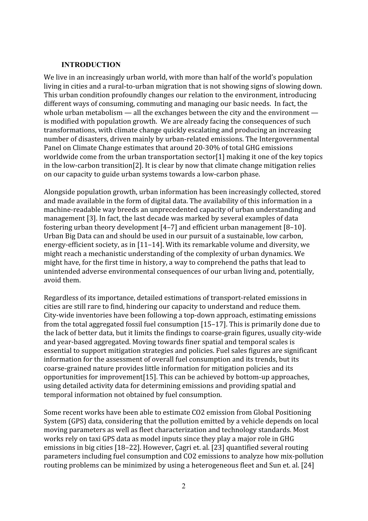#### **INTRODUCTION**

We live in an increasingly urban world, with more than half of the world's population living in cities and a rural-to-urban migration that is not showing signs of slowing down. This urban condition profoundly changes our relation to the environment, introducing different ways of consuming, commuting and managing our basic needs. In fact, the whole urban metabolism — all the exchanges between the city and the environment is modified with population growth. We are already facing the consequences of such transformations, with climate change quickly escalating and producing an increasing number of disasters, driven mainly by urban-related emissions. The Intergovernmental Panel on Climate Change estimates that around 20-30% of total GHG emissions worldwide come from the urban transportation sector[\[1\]](https://www.zotero.org/google-docs/?1EwStx) making it one of the key topics in the low-carbon transition[\[2\].](https://www.zotero.org/google-docs/?YOCbC6) It is clear by now that climate change mitigation relies on our capacity to guide urban systems towards a low-carbon phase.

Alongside population growth, urban information has been increasingly collected, stored and made available in the form of digital data. The availability of this information in a machine-readable way breeds an unprecedented capacity of urban understanding and management [\[3\]](https://www.zotero.org/google-docs/?TgpjKp). In fact, the last decade was marked by several examples of data fostering urban theory development [\[4–7\]](https://www.zotero.org/google-docs/?3zRFQx) and efficient urban management [\[8–10\]](https://www.zotero.org/google-docs/?Uh4Zn8). Urban Big Data can and should be used in our pursuit of a sustainable, low carbon, energy-efficient society, as in [\[11–14\]](https://www.zotero.org/google-docs/?JlxpVv). With its remarkable volume and diversity, we might reach a mechanistic understanding of the complexity of urban dynamics. We might have, for the first time in history, a way to comprehend the paths that lead to unintended adverse environmental consequences of our urban living and, potentially, avoid them.

Regardless of its importance, detailed estimations of transport-related emissions in cities are still rare to find, hindering our capacity to understand and reduce them. City-wide inventories have been following a top-down approach, estimating emissions from the total aggregated fossil fuel consumption [\[15–17\]](https://www.zotero.org/google-docs/?nOPf5Z). This is primarily done due to the lack of better data, but it limits the findings to coarse-grain figures, usually city-wide and year-based aggregated. Moving towards finer spatial and temporal scales is essential to support mitigation strategies and policies. Fuel sales figures are significant information for the assessment of overall fuel consumption and its trends, but its coarse-grained nature provides little information for mitigation policies and its opportunities for improvemen[t\[15\]](https://www.zotero.org/google-docs/?aOZ9w8). This can be achieved by bottom-up approaches, using detailed activity data for determining emissions and providing spatial and temporal information not obtained by fuel consumption.

Some recent works have been able to estimate CO2 emission from Global Positioning System (GPS) data, considering that the pollution emitted by a vehicle depends on local moving parameters as well as fleet characterization and technology standards. Most works rely on taxi GPS data as model inputs since they play a major role in GHG emissions in big cities [\[18–22\].](https://www.zotero.org/google-docs/?O7Dmvw) However, Çagri et. al. [\[23\]](https://www.zotero.org/google-docs/?wETxUE) quantified several routing parameters including fuel consumption and CO2 emissions to analyze how mix-pollution routing problems can be minimized by using a heterogeneous fleet and Sun et. al. [\[24\]](https://www.zotero.org/google-docs/?G9PWe7)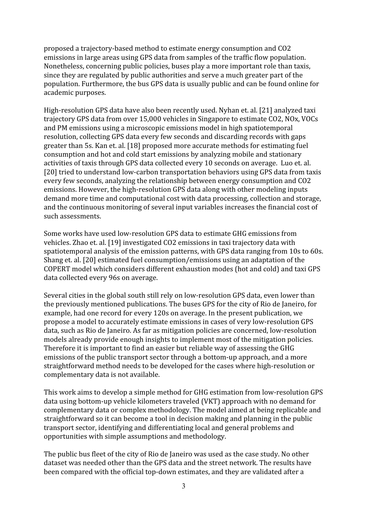proposed a trajectory-based method to estimate energy consumption and CO2 emissions in large areas using GPS data from samples of the traffic flow population. Nonetheless, concerning public policies, buses play a more important role than taxis, since they are regulated by public authorities and serve a much greater part of the population. Furthermore, the bus GPS data is usually public and can be found online for academic purposes.

High-resolution GPS data have also been recently used. Nyhan et. al. [\[21\]](https://www.zotero.org/google-docs/?XGFxrS) analyzed taxi trajectory GPS data from over 15,000 vehicles in Singapore to estimate CO2, NOx, VOCs and PM emissions using a microscopic emissions model in high spatiotemporal resolution, collecting GPS data every few seconds and discarding records with gaps greater than 5s. Kan et. al. [\[18\]](https://www.zotero.org/google-docs/?tCnhk1) proposed more accurate methods for estimating fuel consumption and hot and cold start emissions by analyzing mobile and stationary activities of taxis through GPS data collected every 10 seconds on average. Luo et. al. [\[20\]](https://www.zotero.org/google-docs/?4SmKIQ) tried to understand low-carbon transportation behaviors using GPS data from taxis every few seconds, analyzing the relationship between energy consumption and CO2 emissions. However, the high-resolution GPS data along with other modeling inputs demand more time and computational cost with data processing, collection and storage, and the continuous monitoring of several input variables increases the financial cost of such assessments.

Some works have used low-resolution GPS data to estimate GHG emissions from vehicles. Zhao et. al. [\[19\]](https://www.zotero.org/google-docs/?7Gggmc) investigated CO2 emissions in taxi trajectory data with spatiotemporal analysis of the emission patterns, with GPS data ranging from 10s to 60s. Shang et. al. [\[20\]](https://www.zotero.org/google-docs/?2BCEZl) estimated fuel consumption/emissions using an adaptation of the COPERT model which considers different exhaustion modes (hot and cold) and taxi GPS data collected every 96s on average.

Several cities in the global south still rely on low-resolution GPS data, even lower than the previously mentioned publications. The buses GPS for the city of Rio de Janeiro, for example, had one record for every 120s on average. In the present publication, we propose a model to accurately estimate emissions in cases of very low-resolution GPS data, such as Rio de Janeiro. As far as mitigation policies are concerned, low-resolution models already provide enough insights to implement most of the mitigation policies. Therefore it is important to find an easier but reliable way of assessing the GHG emissions of the public transport sector through a bottom-up approach, and a more straightforward method needs to be developed for the cases where high-resolution or complementary data is not available.

This work aims to develop a simple method for GHG estimation from low-resolution GPS data using bottom-up vehicle kilometers traveled (VKT) approach with no demand for complementary data or complex methodology. The model aimed at being replicable and straightforward so it can become a tool in decision making and planning in the public transport sector, identifying and differentiating local and general problems and opportunities with simple assumptions and methodology.

The public bus fleet of the city of Rio de Janeiro was used as the case study. No other dataset was needed other than the GPS data and the street network. The results have been compared with the official top-down estimates, and they are validated after a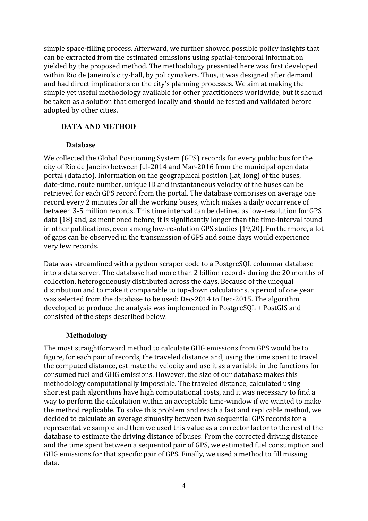simple space-filling process. Afterward, we further showed possible policy insights that can be extracted from the estimated emissions using spatial-temporal information yielded by the proposed method. The methodology presented here was first developed within Rio de Janeiro's city-hall, by policymakers. Thus, it was designed after demand and had direct implications on the city's planning processes. We aim at making the simple yet useful methodology available for other practitioners worldwide, but it should be taken as a solution that emerged locally and should be tested and validated before adopted by other cities.

# **DATA AND METHOD**

## **Database**

We collected the Global Positioning System (GPS) records for every public bus for the city of Rio de Janeiro between Jul-2014 and Mar-2016 from the municipal open data portal (data.rio). Information on the geographical position (lat, long) of the buses, date-time, route number, unique ID and instantaneous velocity of the buses can be retrieved for each GPS record from the portal. The database comprises on average one record every 2 minutes for all the working buses, which makes a daily occurrence of between 3-5 million records. This time interval can be defined as low-resolution for GPS data [\[18\]](https://www.zotero.org/google-docs/?wUFHii) and, as mentioned before, it is significantly longer than the time-interval found in other publications, even among low-resolution GPS studies [\[19,20\].](https://www.zotero.org/google-docs/?Shh3cJ) Furthermore, a lot of gaps can be observed in the transmission of GPS and some days would experience very few records.

Data was streamlined with a python scraper code to a PostgreSQL columnar database into a data server. The database had more than 2 billion records during the 20 months of collection, heterogeneously distributed across the days. Because of the unequal distribution and to make it comparable to top-down calculations, a period of one year was selected from the database to be used: Dec-2014 to Dec-2015. The algorithm developed to produce the analysis was implemented in PostgreSQL + PostGIS and consisted of the steps described below.

## **Methodology**

The most straightforward method to calculate GHG emissions from GPS would be to figure, for each pair of records, the traveled distance and, using the time spent to travel the computed distance, estimate the velocity and use it as a variable in the functions for consumed fuel and GHG emissions. However, the size of our database makes this methodology computationally impossible. The traveled distance, calculated using shortest path algorithms have high computational costs, and it was necessary to find a way to perform the calculation within an acceptable time-window if we wanted to make the method replicable. To solve this problem and reach a fast and replicable method, we decided to calculate an average sinuosity between two sequential GPS records for a representative sample and then we used this value as a corrector factor to the rest of the database to estimate the driving distance of buses. From the corrected driving distance and the time spent between a sequential pair of GPS, we estimated fuel consumption and GHG emissions for that specific pair of GPS. Finally, we used a method to fill missing data.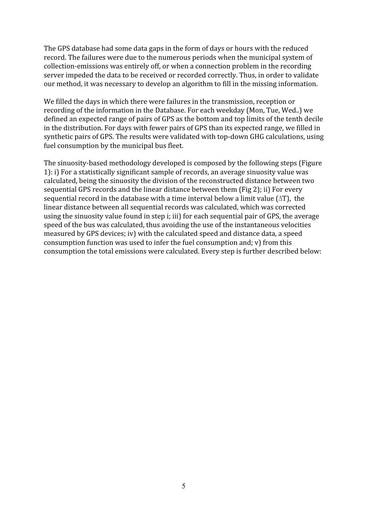The GPS database had some data gaps in the form of days or hours with the reduced record. The failures were due to the numerous periods when the municipal system of collection-emissions was entirely off, or when a connection problem in the recording server impeded the data to be received or recorded correctly. Thus, in order to validate our method, it was necessary to develop an algorithm to fill in the missing information.

We filled the days in which there were failures in the transmission, reception or recording of the information in the Database. For each weekday (Mon, Tue, Wed..) we defined an expected range of pairs of GPS as the bottom and top limits of the tenth decile in the distribution. For days with fewer pairs of GPS than its expected range, we filled in synthetic pairs of GPS. The results were validated with top-down GHG calculations, using fuel consumption by the municipal bus fleet.

The sinuosity-based methodology developed is composed by the following steps (Figure 1): i) For a statistically significant sample of records, an average sinuosity value was calculated, being the sinuosity the division of the reconstructed distance between two sequential GPS records and the linear distance between them (Fig 2); ii) For every sequential record in the database with a time interval below a limit value ( $\Delta T$ ), the linear distance between all sequential records was calculated, which was corrected using the sinuosity value found in step i; iii) for each sequential pair of GPS, the average speed of the bus was calculated, thus avoiding the use of the instantaneous velocities measured by GPS devices; iv) with the calculated speed and distance data, a speed consumption function was used to infer the fuel consumption and; v) from this consumption the total emissions were calculated. Every step is further described below: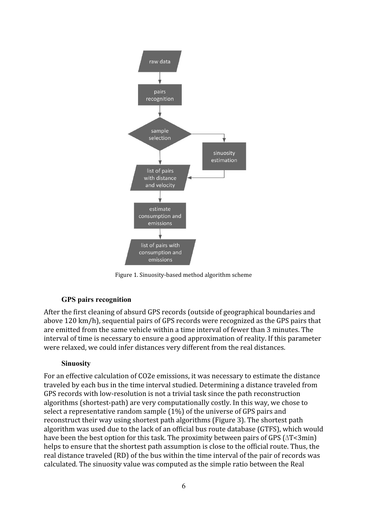

Figure 1. Sinuosity-based method algorithm scheme

## **GPS pairs recognition**

After the first cleaning of absurd GPS records (outside of geographical boundaries and above 120 km/h), sequential pairs of GPS records were recognized as the GPS pairs that are emitted from the same vehicle within a time interval of fewer than 3 minutes. The interval of time is necessary to ensure a good approximation of reality. If this parameter were relaxed, we could infer distances very different from the real distances.

## **Sinuosity**

For an effective calculation of CO2e emissions, it was necessary to estimate the distance traveled by each bus in the time interval studied. Determining a distance traveled from GPS records with low-resolution is not a trivial task since the path reconstruction algorithms (shortest-path) are very computationally costly. In this way, we chose to select a representative random sample (1%) of the universe of GPS pairs and reconstruct their way using shortest path algorithms (Figure 3). The shortest path algorithm was used due to the lack of an official bus route database (GTFS), which would have been the best option for this task. The proximity between pairs of GPS (∆T<3min) helps to ensure that the shortest path assumption is close to the official route. Thus, the real distance traveled (RD) of the bus within the time interval of the pair of records was calculated. The sinuosity value was computed as the simple ratio between the Real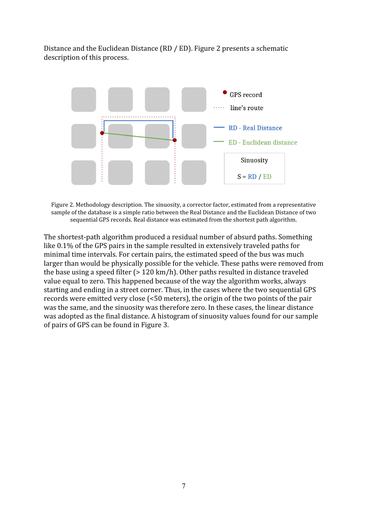Distance and the Euclidean Distance (RD / ED). Figure 2 presents a schematic description of this process.



Figure 2. Methodology description. The sinuosity, a corrector factor, estimated from a representative sample of the database is a simple ratio between the Real Distance and the Euclidean Distance of two sequential GPS records. Real distance was estimated from the shortest path algorithm.

The shortest-path algorithm produced a residual number of absurd paths. Something like 0.1% of the GPS pairs in the sample resulted in extensively traveled paths for minimal time intervals. For certain pairs, the estimated speed of the bus was much larger than would be physically possible for the vehicle. These paths were removed from the base using a speed filter (> 120 km/h). Other paths resulted in distance traveled value equal to zero. This happened because of the way the algorithm works, always starting and ending in a street corner. Thus, in the cases where the two sequential GPS records were emitted very close (<50 meters), the origin of the two points of the pair was the same, and the sinuosity was therefore zero. In these cases, the linear distance was adopted as the final distance. A histogram of sinuosity values found for our sample of pairs of GPS can be found in Figure 3.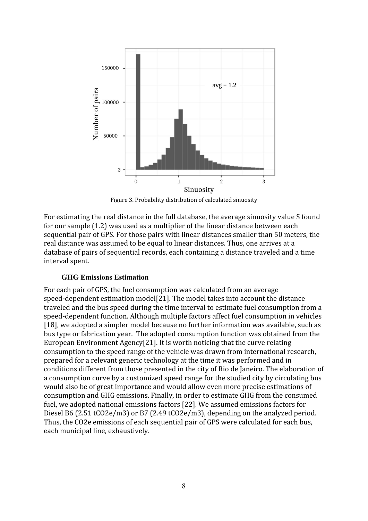

Figure 3. Probability distribution of calculated sinuosity

For estimating the real distance in the full database, the average sinuosity value S found for our sample (1.2) was used as a multiplier of the linear distance between each sequential pair of GPS. For those pairs with linear distances smaller than 50 meters, the real distance was assumed to be equal to linear distances. Thus, one arrives at a database of pairs of sequential records, each containing a distance traveled and a time interval spent.

#### **GHG Emissions Estimation**

For each pair of GPS, the fuel consumption was calculated from an average speed-dependent estimation model[21]. The model takes into account the distance traveled and the bus speed during the time interval to estimate fuel consumption from a speed-dependent function. Although multiple factors affect fuel consumption in vehicles [\[18\]](https://www.zotero.org/google-docs/?uO7z9t), we adopted a simpler model because no further information was available, such as bus type or fabrication year. The adopted consumption function was obtained from the European Environment Agency[21]. It is worth noticing that the curve relating consumption to the speed range of the vehicle was drawn from international research, prepared for a relevant generic technology at the time it was performed and in conditions different from those presented in the city of Rio de Janeiro. The elaboration of a consumption curve by a customized speed range for the studied city by circulating bus would also be of great importance and would allow even more precise estimations of consumption and GHG emissions. Finally, in order to estimate GHG from the consumed fuel, we adopted national emissions factors [22]. We assumed emissions factors for Diesel B6 (2.51 tCO2e/m3) or B7 (2.49 tCO2e/m3), depending on the analyzed period. Thus, the CO2e emissions of each sequential pair of GPS were calculated for each bus, each municipal line, exhaustively.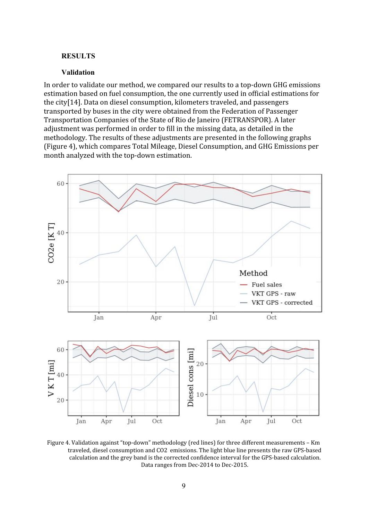#### **RESULTS**

#### **Validation**

In order to validate our method, we compared our results to a top-down GHG emissions estimation based on fuel consumption, the one currently used in official estimations for the city[14]. Data on diesel consumption, kilometers traveled, and passengers transported by buses in the city were obtained from the Federation of Passenger Transportation Companies of the State of Rio de Janeiro (FETRANSPOR). A later adjustment was performed in order to fill in the missing data, as detailed in the methodology. The results of these adjustments are presented in the following graphs (Figure 4), which compares Total Mileage, Diesel Consumption, and GHG Emissions per month analyzed with the top-down estimation.



Figure 4. Validation against "top-down" methodology (red lines) for three different measurements – Km traveled, diesel consumption and CO2 emissions. The light blue line presents the raw GPS-based calculation and the grey band is the corrected confidence interval for the GPS-based calculation. Data ranges from Dec-2014 to Dec-2015.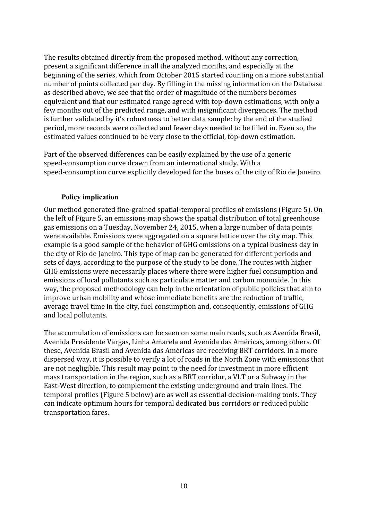The results obtained directly from the proposed method, without any correction, present a significant difference in all the analyzed months, and especially at the beginning of the series, which from October 2015 started counting on a more substantial number of points collected per day. By filling in the missing information on the Database as described above, we see that the order of magnitude of the numbers becomes equivalent and that our estimated range agreed with top-down estimations, with only a few months out of the predicted range, and with insignificant divergences. The method is further validated by it's robustness to better data sample: by the end of the studied period, more records were collected and fewer days needed to be filled in. Even so, the estimated values continued to be very close to the official, top-down estimation.

Part of the observed differences can be easily explained by the use of a generic speed-consumption curve drawn from an international study. With a speed-consumption curve explicitly developed for the buses of the city of Rio de Janeiro.

#### **Policy implication**

Our method generated fine-grained spatial-temporal profiles of emissions (Figure 5). On the left of Figure 5, an emissions map shows the spatial distribution of total greenhouse gas emissions on a Tuesday, November 24, 2015, when a large number of data points were available. Emissions were aggregated on a square lattice over the city map. This example is a good sample of the behavior of GHG emissions on a typical business day in the city of Rio de Janeiro. This type of map can be generated for different periods and sets of days, according to the purpose of the study to be done. The routes with higher GHG emissions were necessarily places where there were higher fuel consumption and emissions of local pollutants such as particulate matter and carbon monoxide. In this way, the proposed methodology can help in the orientation of public policies that aim to improve urban mobility and whose immediate benefits are the reduction of traffic, average travel time in the city, fuel consumption and, consequently, emissions of GHG and local pollutants.

The accumulation of emissions can be seen on some main roads, such as Avenida Brasil, Avenida Presidente Vargas, Linha Amarela and Avenida das Américas, among others. Of these, Avenida Brasil and Avenida das Américas are receiving BRT corridors. In a more dispersed way, it is possible to verify a lot of roads in the North Zone with emissions that are not negligible. This result may point to the need for investment in more efficient mass transportation in the region, such as a BRT corridor, a VLT or a Subway in the East-West direction, to complement the existing underground and train lines. The temporal profiles (Figure 5 below) are as well as essential decision-making tools. They can indicate optimum hours for temporal dedicated bus corridors or reduced public transportation fares.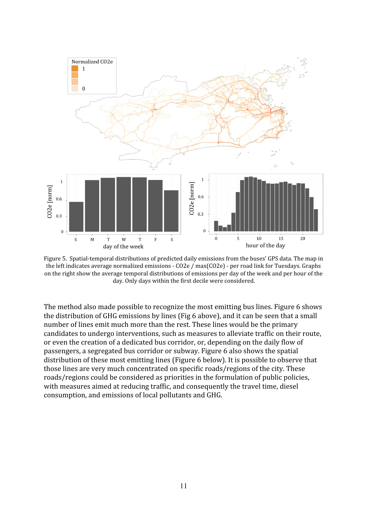

Figure 5. Spatial-temporal distributions of predicted daily emissions from the buses' GPS data. The map in the left indicates average normalized emissions - CO2e / max(CO2e) - per road link for Tuesdays. Graphs on the right show the average temporal distributions of emissions per day of the week and per hour of the day. Only days within the first decile were considered.

The method also made possible to recognize the most emitting bus lines. Figure 6 shows the distribution of GHG emissions by lines (Fig 6 above), and it can be seen that a small number of lines emit much more than the rest. These lines would be the primary candidates to undergo interventions, such as measures to alleviate traffic on their route, or even the creation of a dedicated bus corridor, or, depending on the daily flow of passengers, a segregated bus corridor or subway. Figure 6 also shows the spatial distribution of these most emitting lines (Figure 6 below). It is possible to observe that those lines are very much concentrated on specific roads/regions of the city. These roads/regions could be considered as priorities in the formulation of public policies, with measures aimed at reducing traffic, and consequently the travel time, diesel consumption, and emissions of local pollutants and GHG.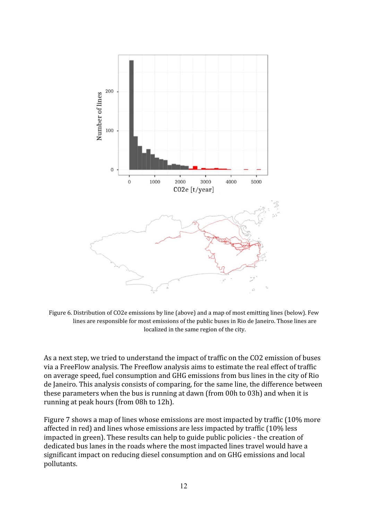

Figure 6. Distribution of CO2e emissions by line (above) and a map of most emitting lines (below). Few lines are responsible for most emissions of the public buses in Rio de Janeiro. Those lines are localized in the same region of the city.

As a next step, we tried to understand the impact of traffic on the CO2 emission of buses via a FreeFlow analysis. The Freeflow analysis aims to estimate the real effect of traffic on average speed, fuel consumption and GHG emissions from bus lines in the city of Rio de Janeiro. This analysis consists of comparing, for the same line, the difference between these parameters when the bus is running at dawn (from 00h to 03h) and when it is running at peak hours (from 08h to 12h).

Figure 7 shows a map of lines whose emissions are most impacted by traffic (10% more affected in red) and lines whose emissions are less impacted by traffic (10% less impacted in green). These results can help to guide public policies - the creation of dedicated bus lanes in the roads where the most impacted lines travel would have a significant impact on reducing diesel consumption and on GHG emissions and local pollutants.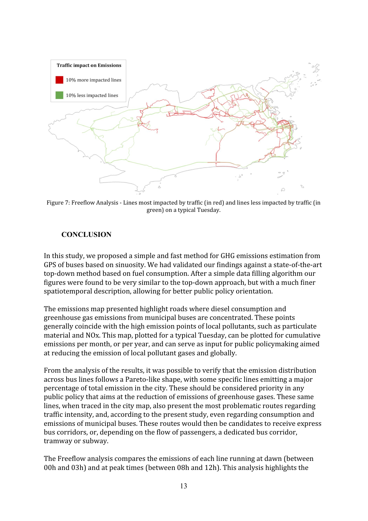

Figure 7: Freeflow Analysis - Lines most impacted by traffic (in red) and lines less impacted by traffic (in green) on a typical Tuesday.

#### **CONCLUSION**

In this study, we proposed a simple and fast method for GHG emissions estimation from GPS of buses based on sinuosity. We had validated our findings against a state-of-the-art top-down method based on fuel consumption. After a simple data filling algorithm our figures were found to be very similar to the top-down approach, but with a much finer spatiotemporal description, allowing for better public policy orientation.

The emissions map presented highlight roads where diesel consumption and greenhouse gas emissions from municipal buses are concentrated. These points generally coincide with the high emission points of local pollutants, such as particulate material and NOx. This map, plotted for a typical Tuesday, can be plotted for cumulative emissions per month, or per year, and can serve as input for public policymaking aimed at reducing the emission of local pollutant gases and globally.

From the analysis of the results, it was possible to verify that the emission distribution across bus lines follows a Pareto-like shape, with some specific lines emitting a major percentage of total emission in the city. These should be considered priority in any public policy that aims at the reduction of emissions of greenhouse gases. These same lines, when traced in the city map, also present the most problematic routes regarding traffic intensity, and, according to the present study, even regarding consumption and emissions of municipal buses. These routes would then be candidates to receive express bus corridors, or, depending on the flow of passengers, a dedicated bus corridor, tramway or subway.

The Freeflow analysis compares the emissions of each line running at dawn (between 00h and 03h) and at peak times (between 08h and 12h). This analysis highlights the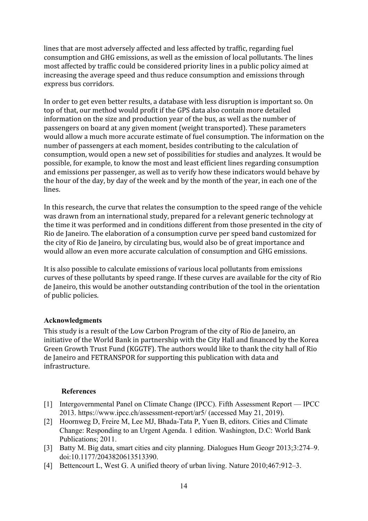lines that are most adversely affected and less affected by traffic, regarding fuel consumption and GHG emissions, as well as the emission of local pollutants. The lines most affected by traffic could be considered priority lines in a public policy aimed at increasing the average speed and thus reduce consumption and emissions through express bus corridors.

In order to get even better results, a database with less disruption is important so. On top of that, our method would profit if the GPS data also contain more detailed information on the size and production year of the bus, as well as the number of passengers on board at any given moment (weight transported). These parameters would allow a much more accurate estimate of fuel consumption. The information on the number of passengers at each moment, besides contributing to the calculation of consumption, would open a new set of possibilities for studies and analyzes. It would be possible, for example, to know the most and least efficient lines regarding consumption and emissions per passenger, as well as to verify how these indicators would behave by the hour of the day, by day of the week and by the month of the year, in each one of the lines.

In this research, the curve that relates the consumption to the speed range of the vehicle was drawn from an international study, prepared for a relevant generic technology at the time it was performed and in conditions different from those presented in the city of Rio de Janeiro. The elaboration of a consumption curve per speed band customized for the city of Rio de Janeiro, by circulating bus, would also be of great importance and would allow an even more accurate calculation of consumption and GHG emissions.

It is also possible to calculate emissions of various local pollutants from emissions curves of these pollutants by speed range. If these curves are available for the city of Rio de Janeiro, this would be another outstanding contribution of the tool in the orientation of public policies.

## **Acknowledgments**

This study is a result of the Low Carbon Program of the city of Rio de Janeiro, an initiative of the World Bank in partnership with the City Hall and financed by the Korea Green Growth Trust Fund (KGGTF). The authors would like to thank the city hall of Rio de Janeiro and FETRANSPOR for supporting this publication with data and infrastructure.

#### **References**

- [\[1\]](https://www.zotero.org/google-docs/?gao36F) [Intergovernmental Panel on Climate Change \(IPCC\). Fifth Assessment Report IPCC](https://www.zotero.org/google-docs/?gao36F) [2013. https://www.ipcc.ch/assessment-report/ar5/ \(accessed May 21, 2019\).](https://www.zotero.org/google-docs/?gao36F)
- [\[2\]](https://www.zotero.org/google-docs/?gao36F) [Hoornweg D, Freire M, Lee MJ, Bhada-Tata P, Yuen B, editors. Cities and Climate](https://www.zotero.org/google-docs/?gao36F) [Change: Responding to an Urgent Agenda. 1 edition. Washington, D.C: World Bank](https://www.zotero.org/google-docs/?gao36F) [Publications; 2011.](https://www.zotero.org/google-docs/?gao36F)
- [\[3\]](https://www.zotero.org/google-docs/?gao36F) [Batty M. Big data, smart cities and city planning. Dialogues Hum Geogr 2013;3:274–9.](https://www.zotero.org/google-docs/?gao36F) [doi:10.1177/2043820613513390.](https://www.zotero.org/google-docs/?gao36F)
- [\[4\]](https://www.zotero.org/google-docs/?gao36F) [Bettencourt L, West G. A unified theory of urban living. Nature 2010;467:912–3.](https://www.zotero.org/google-docs/?gao36F)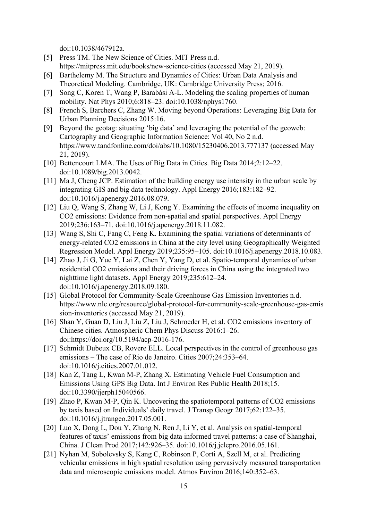[doi:10.1038/467912a.](https://www.zotero.org/google-docs/?gao36F)

- [\[5\]](https://www.zotero.org/google-docs/?gao36F) [Press TM. The New Science of Cities. MIT Press n.d.](https://www.zotero.org/google-docs/?gao36F) [https://mitpress.mit.edu/books/new-science-cities \(accessed May 21, 2019\).](https://www.zotero.org/google-docs/?gao36F)
- [\[6\]](https://www.zotero.org/google-docs/?gao36F) [Barthelemy M. The Structure and Dynamics of Cities: Urban Data Analysis and](https://www.zotero.org/google-docs/?gao36F) [Theoretical Modeling. Cambridge, UK: Cambridge University Press; 2016.](https://www.zotero.org/google-docs/?gao36F)
- [\[7\]](https://www.zotero.org/google-docs/?gao36F) [Song C, Koren T, Wang P, Barabási A-L. Modeling the scaling properties of human](https://www.zotero.org/google-docs/?gao36F) [mobility. Nat Phys 2010;6:818–23. doi:10.1038/nphys1760.](https://www.zotero.org/google-docs/?gao36F)
- [\[8\]](https://www.zotero.org/google-docs/?gao36F) [French S, Barchers C, Zhang W. Moving beyond Operations: Leveraging Big Data for](https://www.zotero.org/google-docs/?gao36F) [Urban Planning Decisions 2015:16.](https://www.zotero.org/google-docs/?gao36F)
- [\[9\]](https://www.zotero.org/google-docs/?gao36F) [Beyond the geotag: situating 'big data' and leveraging the potential of the geoweb:](https://www.zotero.org/google-docs/?gao36F) [Cartography and Geographic Information Science: Vol 40, No 2 n.d.](https://www.zotero.org/google-docs/?gao36F) [https://www.tandfonline.com/doi/abs/10.1080/15230406.2013.777137 \(accessed May](https://www.zotero.org/google-docs/?gao36F) [21, 2019\).](https://www.zotero.org/google-docs/?gao36F)
- [\[10\]](https://www.zotero.org/google-docs/?gao36F) [Bettencourt LMA. The Uses of Big Data in Cities. Big Data 2014;2:12–22.](https://www.zotero.org/google-docs/?gao36F) [doi:10.1089/big.2013.0042.](https://www.zotero.org/google-docs/?gao36F)
- [\[11\]](https://www.zotero.org/google-docs/?gao36F) [Ma J, Cheng JCP. Estimation of the building energy use intensity in the urban scale by](https://www.zotero.org/google-docs/?gao36F) [integrating GIS and big data technology. Appl Energy 2016;183:182–92.](https://www.zotero.org/google-docs/?gao36F) [doi:10.1016/j.apenergy.2016.08.079.](https://www.zotero.org/google-docs/?gao36F)
- [\[12\]](https://www.zotero.org/google-docs/?gao36F) [Liu Q, Wang S, Zhang W, Li J, Kong Y. Examining the effects of income inequality on](https://www.zotero.org/google-docs/?gao36F) [CO2 emissions: Evidence from non-spatial and spatial perspectives. Appl Energy](https://www.zotero.org/google-docs/?gao36F) [2019;236:163–71. doi:10.1016/j.apenergy.2018.11.082.](https://www.zotero.org/google-docs/?gao36F)
- [\[13\]](https://www.zotero.org/google-docs/?gao36F) [Wang S, Shi C, Fang C, Feng K. Examining the spatial variations of determinants of](https://www.zotero.org/google-docs/?gao36F) [energy-related CO2 emissions in China at the city level using Geographically Weighted](https://www.zotero.org/google-docs/?gao36F) [Regression Model. Appl Energy 2019;235:95–105. doi:10.1016/j.apenergy.2018.10.083.](https://www.zotero.org/google-docs/?gao36F)
- [\[14\]](https://www.zotero.org/google-docs/?gao36F) [Zhao J, Ji G, Yue Y, Lai Z, Chen Y, Yang D, et al. Spatio-temporal dynamics of urban](https://www.zotero.org/google-docs/?gao36F) [residential CO2 emissions and their driving forces in China using the integrated two](https://www.zotero.org/google-docs/?gao36F) [nighttime light datasets. Appl Energy 2019;235:612–24.](https://www.zotero.org/google-docs/?gao36F) [doi:10.1016/j.apenergy.2018.09.180.](https://www.zotero.org/google-docs/?gao36F)
- [\[15\]](https://www.zotero.org/google-docs/?gao36F) [Global Protocol for Community-Scale Greenhouse Gas Emission Inventories n.d.](https://www.zotero.org/google-docs/?gao36F) [https://www.nlc.org/resource/global-protocol-for-community-scale-greenhouse-gas-emis](https://www.zotero.org/google-docs/?gao36F) [sion-inventories \(accessed May 21, 2019\).](https://www.zotero.org/google-docs/?gao36F)
- [\[16\]](https://www.zotero.org/google-docs/?gao36F) [Shan Y, Guan D, Liu J, Liu Z, Liu J, Schroeder H, et al. CO2 emissions inventory of](https://www.zotero.org/google-docs/?gao36F) [Chinese cities. Atmospheric Chem Phys Discuss 2016:1–26.](https://www.zotero.org/google-docs/?gao36F) [doi:https://doi.org/10.5194/acp-2016-176.](https://www.zotero.org/google-docs/?gao36F)
- [\[17\]](https://www.zotero.org/google-docs/?gao36F) [Schmidt Dubeux CB, Rovere ELL. Local perspectives in the control of greenhouse gas](https://www.zotero.org/google-docs/?gao36F) [emissions – The case of Rio de Janeiro. Cities 2007;24:353–64.](https://www.zotero.org/google-docs/?gao36F) [doi:10.1016/j.cities.2007.01.012.](https://www.zotero.org/google-docs/?gao36F)
- [\[18\]](https://www.zotero.org/google-docs/?gao36F) [Kan Z, Tang L, Kwan M-P, Zhang X. Estimating Vehicle Fuel Consumption and](https://www.zotero.org/google-docs/?gao36F) [Emissions Using GPS Big Data. Int J Environ Res Public Health 2018;15.](https://www.zotero.org/google-docs/?gao36F) [doi:10.3390/ijerph15040566.](https://www.zotero.org/google-docs/?gao36F)
- [\[19\]](https://www.zotero.org/google-docs/?gao36F) [Zhao P, Kwan M-P, Qin K. Uncovering the spatiotemporal patterns of CO2 emissions](https://www.zotero.org/google-docs/?gao36F) [by taxis based on Individuals' daily travel. J Transp Geogr 2017;62:122–35.](https://www.zotero.org/google-docs/?gao36F) [doi:10.1016/j.jtrangeo.2017.05.001.](https://www.zotero.org/google-docs/?gao36F)
- [\[20\]](https://www.zotero.org/google-docs/?gao36F) [Luo X, Dong L, Dou Y, Zhang N, Ren J, Li Y, et al. Analysis on spatial-temporal](https://www.zotero.org/google-docs/?gao36F) [features of taxis' emissions from big data informed travel patterns: a case of Shanghai,](https://www.zotero.org/google-docs/?gao36F) [China. J Clean Prod 2017;142:926–35. doi:10.1016/j.jclepro.2016.05.161.](https://www.zotero.org/google-docs/?gao36F)
- [\[21\]](https://www.zotero.org/google-docs/?gao36F) [Nyhan M, Sobolevsky S, Kang C, Robinson P, Corti A, Szell M, et al. Predicting](https://www.zotero.org/google-docs/?gao36F) [vehicular emissions in high spatial resolution using pervasively measured transportation](https://www.zotero.org/google-docs/?gao36F) [data and microscopic emissions model. Atmos Environ 2016;140:352–63.](https://www.zotero.org/google-docs/?gao36F)